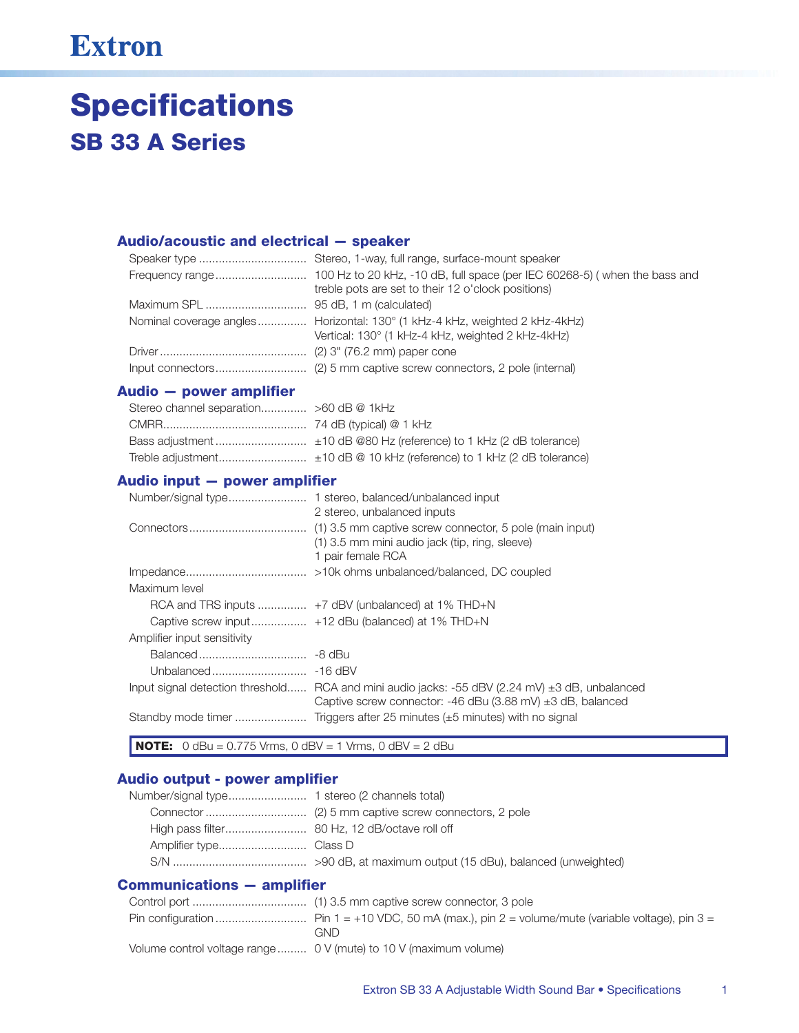## **Extron**

# **Specifications SB 33 A Series**

#### Audio/acoustic and electrical - speaker

| treble pots are set to their 12 o'clock positions)                                                                               |
|----------------------------------------------------------------------------------------------------------------------------------|
|                                                                                                                                  |
| Nominal coverage angles Horizontal: 130° (1 kHz-4 kHz, weighted 2 kHz-4kHz)<br>Vertical: 130° (1 kHz-4 kHz, weighted 2 kHz-4kHz) |
|                                                                                                                                  |
|                                                                                                                                  |

## Audio - power amplifier

## Audio input - power amplifier

| Number/signal type          | 1 stereo, balanced/unbalanced input<br>2 stereo, unbalanced inputs                                                                                                     |
|-----------------------------|------------------------------------------------------------------------------------------------------------------------------------------------------------------------|
|                             | (1) 3.5 mm captive screw connector, 5 pole (main input)<br>(1) 3.5 mm mini audio jack (tip, ring, sleeve)<br>1 pair female RCA                                         |
|                             |                                                                                                                                                                        |
| Maximum level               |                                                                                                                                                                        |
|                             |                                                                                                                                                                        |
|                             |                                                                                                                                                                        |
| Amplifier input sensitivity |                                                                                                                                                                        |
| Balanced                    | -8 dBu                                                                                                                                                                 |
| Unbalanced                  | -16 dBV                                                                                                                                                                |
|                             | Input signal detection threshold RCA and mini audio jacks: -55 dBV (2.24 mV) $\pm$ 3 dB, unbalanced<br>Captive screw connector: -46 dBu (3.88 mV) $\pm$ 3 dB, balanced |
|                             |                                                                                                                                                                        |

**NOTE:**  $0 \text{ dBu} = 0.775 \text{ Vrms}, 0 \text{ dBV} = 1 \text{ Vrms}, 0 \text{ dBV} = 2 \text{ dBu}$ 

### Audio output - power amplifier

#### **Communications - amplifier**

| GND                                                               |
|-------------------------------------------------------------------|
| Volume control voltage range  0 V (mute) to 10 V (maximum volume) |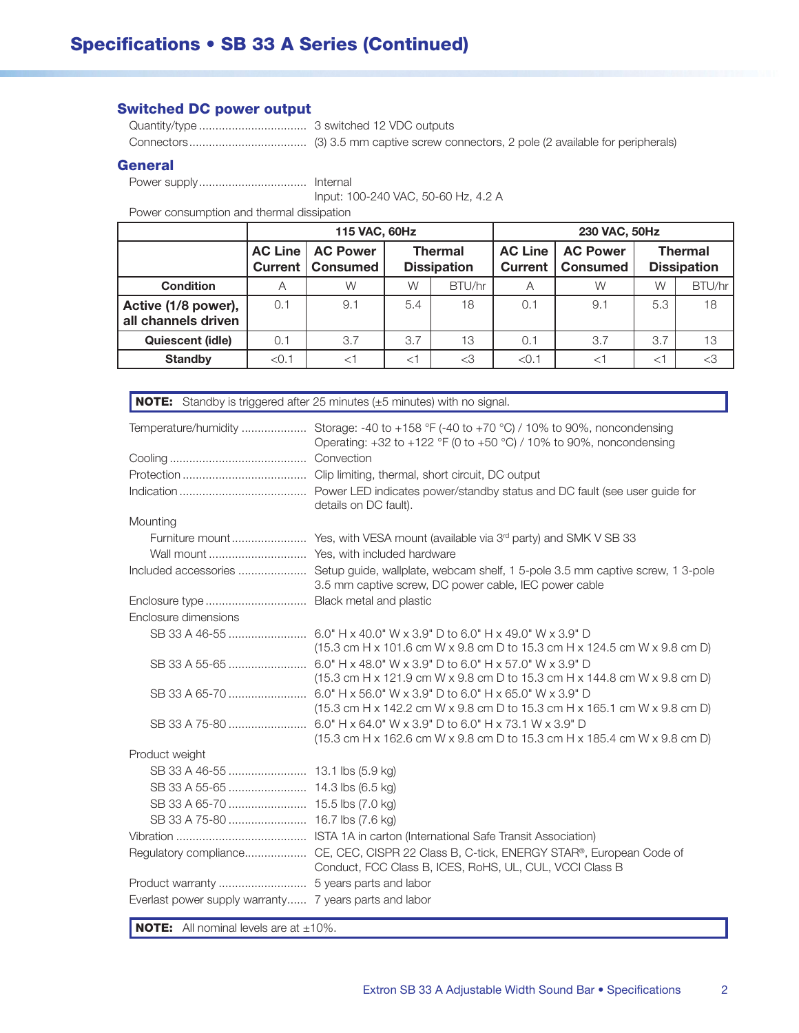## **Switched DC power output**

#### **General**

Input: 100-240 VAC, 50-60 Hz, 4.2 A

Power consumption and thermal dissipation

|                                            | 115 VAC, 60Hz             |                                    |                                      |        | 230 VAC, 50Hz                    |                                    |                                      |        |
|--------------------------------------------|---------------------------|------------------------------------|--------------------------------------|--------|----------------------------------|------------------------------------|--------------------------------------|--------|
|                                            | <b>AC Line</b><br>Current | <b>AC Power</b><br><b>Consumed</b> | <b>Thermal</b><br><b>Dissipation</b> |        | <b>AC Line</b><br><b>Current</b> | <b>AC Power</b><br><b>Consumed</b> | <b>Thermal</b><br><b>Dissipation</b> |        |
| <b>Condition</b>                           | Α                         | W                                  | W                                    | BTU/hr | A                                | W                                  | W                                    | BTU/hr |
| Active (1/8 power),<br>all channels driven | 0.1                       | 9.1                                | 5.4                                  | 18     | 0.1                              | 9.1                                | 5.3                                  | 18     |
| <b>Quiescent (idle)</b>                    | 0.1                       | 3.7                                | 3.7                                  | 13     | 0.1                              | 3.7                                | 3.7                                  | 13     |
| <b>Standby</b>                             | < 0.1                     | $<$ 1                              | $<$ 1                                | $<$ 3  | < 0.1                            | $<^{\dagger}$                      | $<$ 1                                | <3     |

| Temperature/humidity  Storage: -40 to +158 °F (-40 to +70 °C) / 10% to 90%, noncondensing<br>Operating: +32 to +122 °F (0 to +50 °C) / 10% to 90%, noncondensing<br>details on DC fault).<br>Mounting<br>Included accessories  Setup guide, wallplate, webcam shelf, 1 5-pole 3.5 mm captive screw, 1 3-pole<br>3.5 mm captive screw, DC power cable, IEC power cable<br>Enclosure dimensions<br>$(15.3 \text{ cm H x } 101.6 \text{ cm W x } 9.8 \text{ cm D to } 15.3 \text{ cm H x } 124.5 \text{ cm W x } 9.8 \text{ cm D)}$<br>(15.3 cm H x 121.9 cm W x 9.8 cm D to 15.3 cm H x 144.8 cm W x 9.8 cm D)<br>SB 33 A 65-70<br>6.0" H x 56.0" W x 3.9" D to 6.0" H x 65.0" W x 3.9" D<br>$(15.3 \text{ cm H x } 142.2 \text{ cm W x } 9.8 \text{ cm D to } 15.3 \text{ cm H x } 165.1 \text{ cm W x } 9.8 \text{ cm D)}$<br>(15.3 cm H x 162.6 cm W x 9.8 cm D to 15.3 cm H x 185.4 cm W x 9.8 cm D)<br>Product weight<br>Regulatory compliance CE, CEC, CISPR 22 Class B, C-tick, ENERGY STAR®, European Code of<br>Conduct, FCC Class B, ICES, RoHS, UL, CUL, VCCI Class B<br>Everlast power supply warranty 7 years parts and labor | <b>NOTE:</b> Standby is triggered after 25 minutes (±5 minutes) with no signal. |
|------------------------------------------------------------------------------------------------------------------------------------------------------------------------------------------------------------------------------------------------------------------------------------------------------------------------------------------------------------------------------------------------------------------------------------------------------------------------------------------------------------------------------------------------------------------------------------------------------------------------------------------------------------------------------------------------------------------------------------------------------------------------------------------------------------------------------------------------------------------------------------------------------------------------------------------------------------------------------------------------------------------------------------------------------------------------------------------------------------------------------------------|---------------------------------------------------------------------------------|
|                                                                                                                                                                                                                                                                                                                                                                                                                                                                                                                                                                                                                                                                                                                                                                                                                                                                                                                                                                                                                                                                                                                                          |                                                                                 |
|                                                                                                                                                                                                                                                                                                                                                                                                                                                                                                                                                                                                                                                                                                                                                                                                                                                                                                                                                                                                                                                                                                                                          |                                                                                 |
|                                                                                                                                                                                                                                                                                                                                                                                                                                                                                                                                                                                                                                                                                                                                                                                                                                                                                                                                                                                                                                                                                                                                          |                                                                                 |
|                                                                                                                                                                                                                                                                                                                                                                                                                                                                                                                                                                                                                                                                                                                                                                                                                                                                                                                                                                                                                                                                                                                                          |                                                                                 |
|                                                                                                                                                                                                                                                                                                                                                                                                                                                                                                                                                                                                                                                                                                                                                                                                                                                                                                                                                                                                                                                                                                                                          |                                                                                 |
|                                                                                                                                                                                                                                                                                                                                                                                                                                                                                                                                                                                                                                                                                                                                                                                                                                                                                                                                                                                                                                                                                                                                          |                                                                                 |
|                                                                                                                                                                                                                                                                                                                                                                                                                                                                                                                                                                                                                                                                                                                                                                                                                                                                                                                                                                                                                                                                                                                                          |                                                                                 |
|                                                                                                                                                                                                                                                                                                                                                                                                                                                                                                                                                                                                                                                                                                                                                                                                                                                                                                                                                                                                                                                                                                                                          |                                                                                 |
|                                                                                                                                                                                                                                                                                                                                                                                                                                                                                                                                                                                                                                                                                                                                                                                                                                                                                                                                                                                                                                                                                                                                          |                                                                                 |
|                                                                                                                                                                                                                                                                                                                                                                                                                                                                                                                                                                                                                                                                                                                                                                                                                                                                                                                                                                                                                                                                                                                                          |                                                                                 |
|                                                                                                                                                                                                                                                                                                                                                                                                                                                                                                                                                                                                                                                                                                                                                                                                                                                                                                                                                                                                                                                                                                                                          |                                                                                 |
|                                                                                                                                                                                                                                                                                                                                                                                                                                                                                                                                                                                                                                                                                                                                                                                                                                                                                                                                                                                                                                                                                                                                          |                                                                                 |
|                                                                                                                                                                                                                                                                                                                                                                                                                                                                                                                                                                                                                                                                                                                                                                                                                                                                                                                                                                                                                                                                                                                                          |                                                                                 |
|                                                                                                                                                                                                                                                                                                                                                                                                                                                                                                                                                                                                                                                                                                                                                                                                                                                                                                                                                                                                                                                                                                                                          |                                                                                 |
|                                                                                                                                                                                                                                                                                                                                                                                                                                                                                                                                                                                                                                                                                                                                                                                                                                                                                                                                                                                                                                                                                                                                          |                                                                                 |
|                                                                                                                                                                                                                                                                                                                                                                                                                                                                                                                                                                                                                                                                                                                                                                                                                                                                                                                                                                                                                                                                                                                                          |                                                                                 |
|                                                                                                                                                                                                                                                                                                                                                                                                                                                                                                                                                                                                                                                                                                                                                                                                                                                                                                                                                                                                                                                                                                                                          |                                                                                 |
|                                                                                                                                                                                                                                                                                                                                                                                                                                                                                                                                                                                                                                                                                                                                                                                                                                                                                                                                                                                                                                                                                                                                          |                                                                                 |
|                                                                                                                                                                                                                                                                                                                                                                                                                                                                                                                                                                                                                                                                                                                                                                                                                                                                                                                                                                                                                                                                                                                                          |                                                                                 |
|                                                                                                                                                                                                                                                                                                                                                                                                                                                                                                                                                                                                                                                                                                                                                                                                                                                                                                                                                                                                                                                                                                                                          |                                                                                 |
|                                                                                                                                                                                                                                                                                                                                                                                                                                                                                                                                                                                                                                                                                                                                                                                                                                                                                                                                                                                                                                                                                                                                          |                                                                                 |
|                                                                                                                                                                                                                                                                                                                                                                                                                                                                                                                                                                                                                                                                                                                                                                                                                                                                                                                                                                                                                                                                                                                                          |                                                                                 |
|                                                                                                                                                                                                                                                                                                                                                                                                                                                                                                                                                                                                                                                                                                                                                                                                                                                                                                                                                                                                                                                                                                                                          |                                                                                 |

**NOTE:** All nominal levels are at  $\pm 10\%$ .

Π